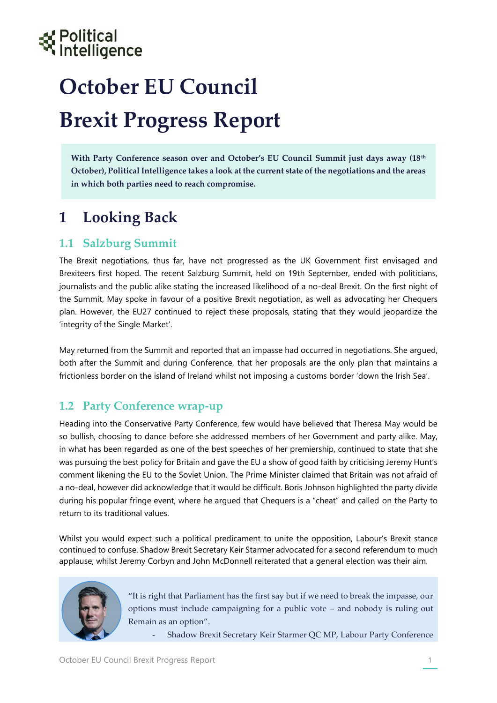# Political<br>Intelligence

## **October EU Council Brexit Progress Report**

**With Party Conference season over and October's EU Council Summit just days away (18th October), Political Intelligence takes a look at the current state of the negotiations and the areas in which both parties need to reach compromise.** 

## **1 Looking Back**

#### **1.1 Salzburg Summit**

The Brexit negotiations, thus far, have not progressed as the UK Government first envisaged and Brexiteers first hoped. The recent Salzburg Summit, held on 19th September, ended with politicians, journalists and the public alike stating the increased likelihood of a no-deal Brexit. On the first night of the Summit, May spoke in favour of a positive Brexit negotiation, as well as advocating her Chequers plan. However, the EU27 continued to reject these proposals, stating that they would jeopardize the 'integrity of the Single Market'.

May returned from the Summit and reported that an impasse had occurred in negotiations. She argued, both after the Summit and during Conference, that her proposals are the only plan that maintains a frictionless border on the island of Ireland whilst not imposing a customs border 'down the Irish Sea'.

#### **1.2 Party Conference wrap-up**

Heading into the Conservative Party Conference, few would have believed that Theresa May would be so bullish, choosing to dance before she addressed members of her Government and party alike. May, in what has been regarded as one of the best speeches of her premiership, continued to state that she was pursuing the best policy for Britain and gave the EU a show of good faith by criticising Jeremy Hunt's comment likening the EU to the Soviet Union. The Prime Minister claimed that Britain was not afraid of a no-deal, however did acknowledge that it would be difficult. Boris Johnson highlighted the party divide during his popular fringe event, where he argued that Chequers is a "cheat" and called on the Party to return to its traditional values.

Whilst you would expect such a political predicament to unite the opposition, Labour's Brexit stance continued to confuse. Shadow Brexit Secretary Keir Starmer advocated for a second referendum to much applause, whilst Jeremy Corbyn and John McDonnell reiterated that a general election was their aim.



"It is right that Parliament has the first say but if we need to break the impasse, our options must include campaigning for a public vote – and nobody is ruling out Remain as an option".

- Shadow Brexit Secretary Keir Starmer QC MP, Labour Party Conference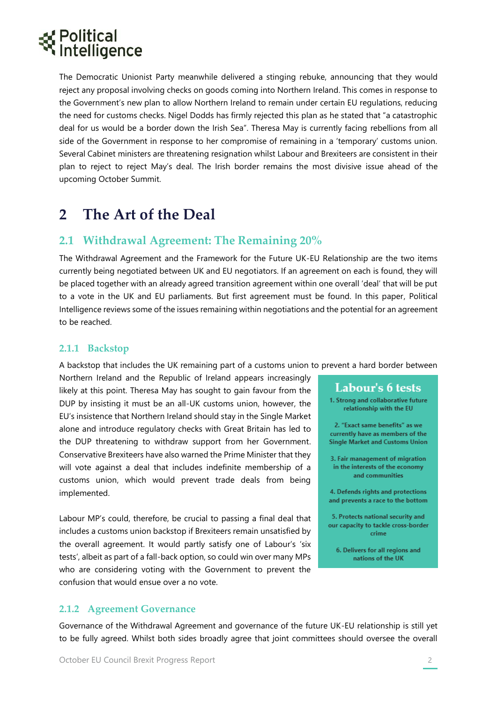### Political Intelligence

The Democratic Unionist Party meanwhile delivered a stinging rebuke, announcing that they would reject any proposal involving checks on goods coming into Northern Ireland. This comes in response to the Government's new plan to allow Northern Ireland to remain under certain EU regulations, reducing the need for customs checks. Nigel Dodds has firmly rejected this plan as he stated that "a catastrophic deal for us would be a border down the Irish Sea". Theresa May is currently facing rebellions from all side of the Government in response to her compromise of remaining in a 'temporary' customs union. Several Cabinet ministers are threatening resignation whilst Labour and Brexiteers are consistent in their plan to reject to reject May's deal. The Irish border remains the most divisive issue ahead of the upcoming October Summit.

### **2 The Art of the Deal**

#### **2.1 Withdrawal Agreement: The Remaining 20%**

The Withdrawal Agreement and the Framework for the Future UK-EU Relationship are the two items currently being negotiated between UK and EU negotiators. If an agreement on each is found, they will be placed together with an already agreed transition agreement within one overall 'deal' that will be put to a vote in the UK and EU parliaments. But first agreement must be found. In this paper, Political Intelligence reviews some of the issues remaining within negotiations and the potential for an agreement to be reached.

#### **2.1.1 Backstop**

A backstop that includes the UK remaining part of a customs union to prevent a hard border between

Northern Ireland and the Republic of Ireland appears increasingly likely at this point. Theresa May has sought to gain favour from the DUP by insisting it must be an all-UK customs union, however, the EU's insistence that Northern Ireland should stay in the Single Market alone and introduce regulatory checks with Great Britain has led to the DUP threatening to withdraw support from her Government. Conservative Brexiteers have also warned the Prime Minister that they will vote against a deal that includes indefinite membership of a customs union, which would prevent trade deals from being implemented.

Labour MP's could, therefore, be crucial to passing a final deal that includes a customs union backstop if Brexiteers remain unsatisfied by the overall agreement. It would partly satisfy one of Labour's 'six tests', albeit as part of a fall-back option, so could win over many MPs who are considering voting with the Government to prevent the confusion that would ensue over a no vote.

#### Labour's 6 tests

1. Strong and collaborative future relationship with the EU

2. "Exact same benefits" as we currently have as members of the **Single Market and Customs Union** 

3. Fair management of migration in the interests of the economy and communities

4. Defends rights and protections and prevents a race to the bottom

5. Protects national security and our capacity to tackle cross-border crime

6. Delivers for all regions and nations of the UK

#### **2.1.2 Agreement Governance**

Governance of the Withdrawal Agreement and governance of the future UK-EU relationship is still yet to be fully agreed. Whilst both sides broadly agree that joint committees should oversee the overall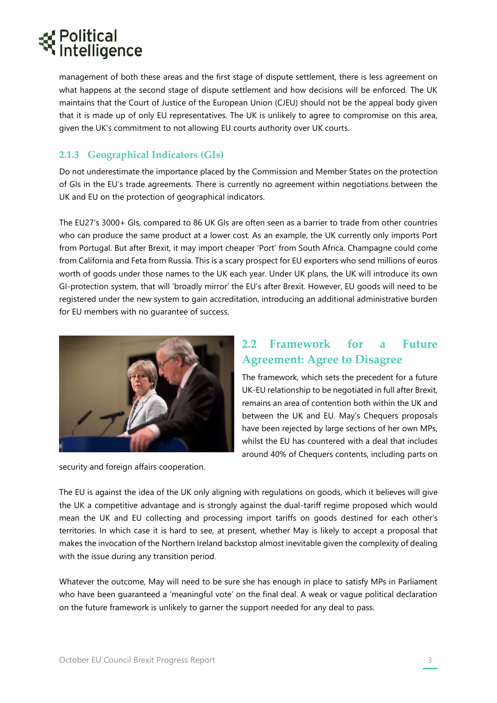## itelligence

management of both these areas and the first stage of dispute settlement, there is less agreement on what happens at the second stage of dispute settlement and how decisions will be enforced. The UK maintains that the Court of Justice of the European Union (CJEU) should not be the appeal body given that it is made up of only EU representatives. The UK is unlikely to agree to compromise on this area, given the UK's commitment to not allowing EU courts authority over UK courts.

#### **2.1.3 Geographical Indicators (GIs)**

Do not underestimate the importance placed by the Commission and Member States on the protection of GIs in the EU's trade agreements. There is currently no agreement within negotiations between the UK and EU on the protection of geographical indicators.

The EU27's 3000+ GIs, compared to 86 UK GIs are often seen as a barrier to trade from other countries who can produce the same product at a lower cost. As an example, the UK currently only imports Port from Portugal. But after Brexit, it may import cheaper 'Port' from South Africa. Champagne could come from California and Feta from Russia. This is a scary prospect for EU exporters who send millions of euros worth of goods under those names to the UK each year. Under UK plans, the UK will introduce its own GI-protection system, that will 'broadly mirror' the EU's after Brexit. However, EU goods will need to be registered under the new system to gain accreditation, introducing an additional administrative burden for EU members with no guarantee of success.



security and foreign affairs cooperation.

#### **2.2 Framework for a Future Agreement: Agree to Disagree**

The framework, which sets the precedent for a future UK-EU relationship to be negotiated in full after Brexit, remains an area of contention both within the UK and between the UK and EU. May's Chequers proposals have been rejected by large sections of her own MPs, whilst the EU has countered with a deal that includes around 40% of Chequers contents, including parts on

The EU is against the idea of the UK only aligning with regulations on goods, which it believes will give the UK a competitive advantage and is strongly against the dual-tariff regime proposed which would mean the UK and EU collecting and processing import tariffs on goods destined for each other's territories. In which case it is hard to see, at present, whether May is likely to accept a proposal that makes the invocation of the Northern Ireland backstop almost inevitable given the complexity of dealing with the issue during any transition period.

Whatever the outcome, May will need to be sure she has enough in place to satisfy MPs in Parliament who have been guaranteed a 'meaningful vote' on the final deal. A weak or vague political declaration on the future framework is unlikely to garner the support needed for any deal to pass.